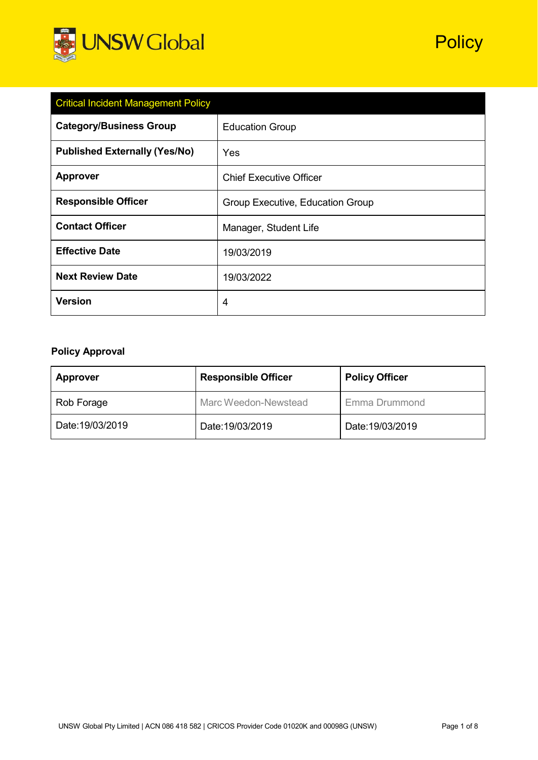

| <b>Critical Incident Management Policy</b> |                                  |  |
|--------------------------------------------|----------------------------------|--|
| <b>Category/Business Group</b>             | <b>Education Group</b>           |  |
| <b>Published Externally (Yes/No)</b>       | Yes                              |  |
| <b>Approver</b>                            | <b>Chief Executive Officer</b>   |  |
| <b>Responsible Officer</b>                 | Group Executive, Education Group |  |
| <b>Contact Officer</b>                     | Manager, Student Life            |  |
| <b>Effective Date</b>                      | 19/03/2019                       |  |
| <b>Next Review Date</b>                    | 19/03/2022                       |  |
| <b>Version</b>                             | 4                                |  |

# **Policy Approval**

| <b>Approver</b>  | <b>Responsible Officer</b> |                  |
|------------------|----------------------------|------------------|
| Rob Forage       | Marc Weedon-Newstead       | Emma Drummond    |
| Date: 19/03/2019 | Date:19/03/2019            | Date: 19/03/2019 |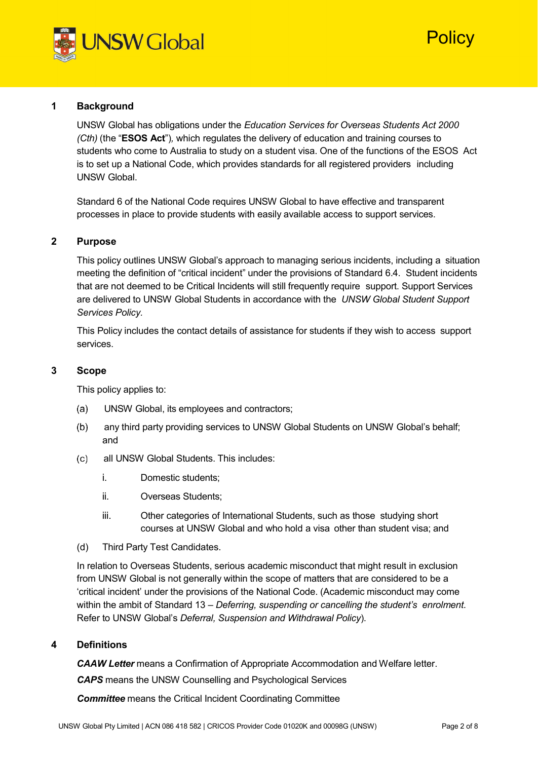

# <sup>2</sup>Olicy

# **1 Background**

UNSW Global has obligations under the *Education Services for Overseas Students Act 2000 (Cth)* (the "**ESOS Act**")*,* which regulates the delivery of education and training courses to students who come to Australia to study on a student visa. One of the functions of the ESOS Act is to set up a National Code, which provides standards for all registered providers including UNSW Global.

Standard 6 of the National Code requires UNSW Global to have effective and transparent processes in place to provide students with easily available access to support services.

#### **2 Purpose**

This policy outlines UNSW Global's approach to managing serious incidents, including a situation meeting the definition of "critical incident" under the provisions of Standard 6.4. Student incidents that are not deemed to be Critical Incidents will still frequently require support. Support Services are delivered to UNSW Global Students in accordance with the *UNSW Global Student Support Services Policy.*

This Policy includes the contact details of assistance for students if they wish to access support services.

#### **3 Scope**

This policy applies to:

- UNSW Global, its employees and contractors;
- any third party providing services to UNSW Global Students on UNSW Global's behalf; and
- all UNSW Global Students. This includes:
	- i. Domestic students;
	- ii. Overseas Students;
	- iii. Other categories of International Students, such as those studying short courses at UNSW Global and who hold a visa other than student visa; and
- (d) Third Party Test Candidates.

In relation to Overseas Students, serious academic misconduct that might result in exclusion from UNSW Global is not generally within the scope of matters that are considered to be a 'critical incident' under the provisions of the National Code. (Academic misconduct may come within the ambit of Standard 13 *– Deferring, suspending or cancelling the student's enrolment*. Refer to UNSW Global's *Deferral, Suspension and Withdrawal Policy*).

#### **4 Definitions**

*CAAW Letter* means a Confirmation of Appropriate Accommodation and Welfare letter.

*CAPS* means the UNSW Counselling and Psychological Services

*Committee* means the Critical Incident Coordinating Committee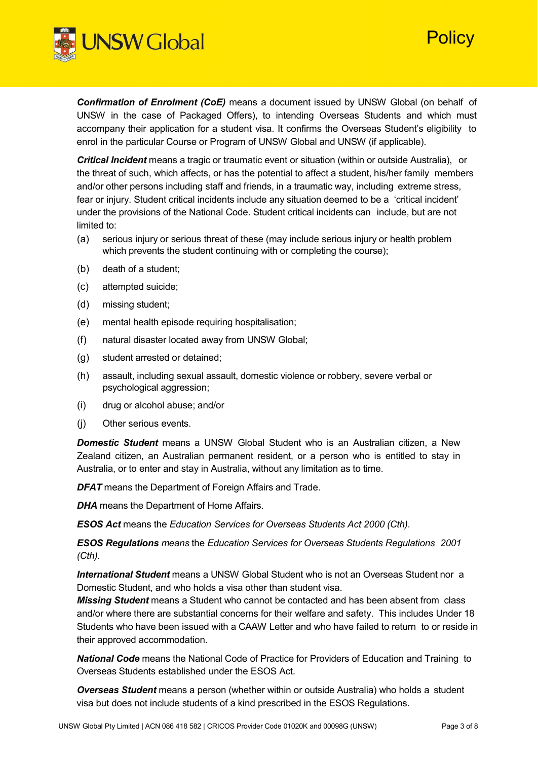

*Confirmation of Enrolment (CoE)* means a document issued by UNSW Global (on behalf of UNSW in the case of Packaged Offers), to intending Overseas Students and which must accompany their application for a student visa. It confirms the Overseas Student's eligibility to enrol in the particular Course or Program of UNSW Global and UNSW (if applicable).

*Critical Incident* means a tragic or traumatic event or situation (within or outside Australia), or the threat of such, which affects, or has the potential to affect a student, his/her family members and/or other persons including staff and friends, in a traumatic way, including extreme stress, fear or injury. Student critical incidents include any situation deemed to be a 'critical incident' under the provisions of the National Code. Student critical incidents can include, but are not limited to:

- (a) serious injury or serious threat of these (may include serious injury or health problem which prevents the student continuing with or completing the course);
- (b) death of a student;
- (c) attempted suicide;
- (d) missing student;
- (e) mental health episode requiring hospitalisation;
- (f) natural disaster located away from UNSW Global;
- (g) student arrested or detained;
- (h) assault, including sexual assault, domestic violence or robbery, severe verbal or psychological aggression;
- (i) drug or alcohol abuse; and/or
- (j) Other serious events.

*Domestic Student* means a UNSW Global Student who is an Australian citizen, a New Zealand citizen, an Australian permanent resident, or a person who is entitled to stay in Australia, or to enter and stay in Australia, without any limitation as to time.

**DFAT** means the Department of Foreign Affairs and Trade.

*DHA* means the Department of Home Affairs.

*ESOS Act* means the *Education Services for Overseas Students Act 2000 (Cth)*.

*ESOS Regulations means* the *Education Services for Overseas Students Regulations 2001 (Cth)*.

*International Student* means a UNSW Global Student who is not an Overseas Student nor a Domestic Student, and who holds a visa other than student visa.

*Missing Student* means a Student who cannot be contacted and has been absent from class and/or where there are substantial concerns for their welfare and safety. This includes Under 18 Students who have been issued with a CAAW Letter and who have failed to return to or reside in their approved accommodation.

*National Code* means the National Code of Practice for Providers of Education and Training to Overseas Students established under the ESOS Act.

*Overseas Student* means a person (whether within or outside Australia) who holds a student visa but does not include students of a kind prescribed in the ESOS Regulations.

**Policy**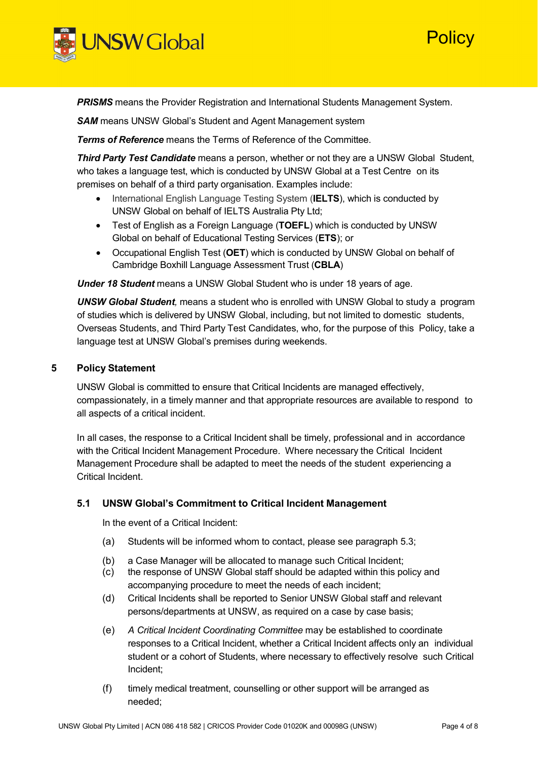



**PRISMS** means the Provider Registration and International Students Management System.

*SAM* means UNSW Global's Student and Agent Management system

*Terms of Reference* means the Terms of Reference of the Committee.

*Third Party Test Candidate* means a person, whether or not they are a UNSW Global Student, who takes a language test, which is conducted by UNSW Global at a Test Centre on its premises on behalf of a third party organisation. Examples include:

- International English Language Testing System (**IELTS**), which is conducted by UNSW Global on behalf of IELTS Australia Pty Ltd;
- Test of English as a Foreign Language (**TOEFL**) which is conducted by UNSW Global on behalf of Educational Testing Services (**ETS**); or
- Occupational English Test (**OET**) which is conducted by UNSW Global on behalf of Cambridge Boxhill Language Assessment Trust (**CBLA**)

*Under 18 Student* means a UNSW Global Student who is under 18 years of age.

*UNSW Global Student,* means a student who is enrolled with UNSW Global to study a program of studies which is delivered by UNSW Global, including, but not limited to domestic students, Overseas Students, and Third Party Test Candidates, who, for the purpose of this Policy, take a language test at UNSW Global's premises during weekends.

#### **5 Policy Statement**

UNSW Global is committed to ensure that Critical Incidents are managed effectively, compassionately, in a timely manner and that appropriate resources are available to respond to all aspects of a critical incident.

In all cases, the response to a Critical Incident shall be timely, professional and in accordance with the Critical Incident Management Procedure. Where necessary the Critical Incident Management Procedure shall be adapted to meet the needs of the student experiencing a Critical Incident.

#### **5.1 UNSW Global's Commitment to Critical Incident Management**

In the event of a Critical Incident:

- (a) Students will be informed whom to contact, please see paragraph [5.3;](#page-5-0)
- (b) a Case Manager will be allocated to manage such Critical Incident;
- (c) the response of UNSW Global staff should be adapted within this policy and accompanying procedure to meet the needs of each incident;
- (d) Critical Incidents shall be reported to Senior UNSW Global staff and relevant persons/departments at UNSW, as required on a case by case basis;
- (e) *A Critical Incident Coordinating Committee* may be established to coordinate responses to a Critical Incident, whether a Critical Incident affects only an individual student or a cohort of Students, where necessary to effectively resolve such Critical Incident;
- (f) timely medical treatment, counselling or other support will be arranged as needed;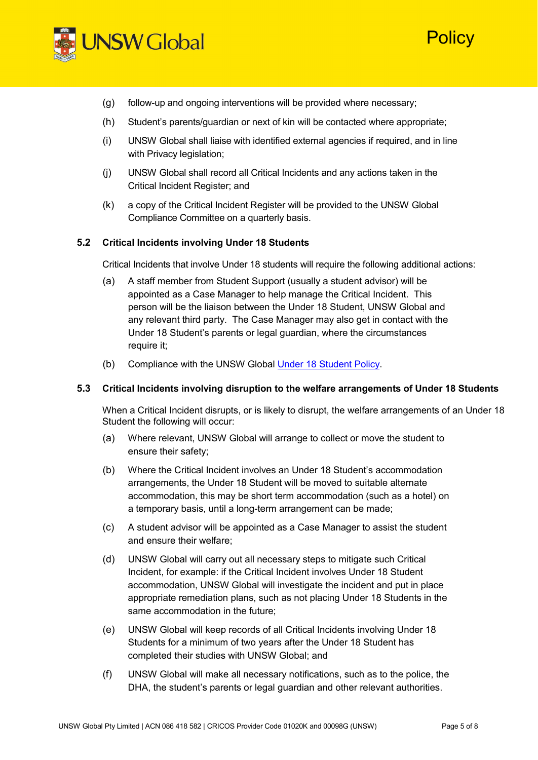

## (g) follow-up and ongoing interventions will be provided where necessary;

- (h) Student's parents/guardian or next of kin will be contacted where appropriate;
- (i) UNSW Global shall liaise with identified external agencies if required, and in line with Privacy legislation;
- (j) UNSW Global shall record all Critical Incidents and any actions taken in the Critical Incident Register; and
- (k) a copy of the Critical Incident Register will be provided to the UNSW Global Compliance Committee on a quarterly basis.

#### **5.2 Critical Incidents involving Under 18 Students**

Critical Incidents that involve Under 18 students will require the following additional actions:

- (a) A staff member from Student Support (usually a student advisor) will be appointed as a Case Manager to help manage the Critical Incident. This person will be the liaison between the Under 18 Student, UNSW Global and any relevant third party. The Case Manager may also get in contact with the Under 18 Student's parents or legal guardian, where the circumstances require it;
- (b) Compliance with the UNSW Global [Under 18 Student Policy.](https://www.unswglobal.unsw.edu.au/wp-content/uploads/2018/07/30185220/Under-18-Student-Policy.pdf)

#### **5.3 Critical Incidents involving disruption to the welfare arrangements of Under 18 Students**

When a Critical Incident disrupts, or is likely to disrupt, the welfare arrangements of an Under 18 Student the following will occur:

- (a) Where relevant, UNSW Global will arrange to collect or move the student to ensure their safety;
- (b) Where the Critical Incident involves an Under 18 Student's accommodation arrangements, the Under 18 Student will be moved to suitable alternate accommodation, this may be short term accommodation (such as a hotel) on a temporary basis, until a long-term arrangement can be made;
- (c) A student advisor will be appointed as a Case Manager to assist the student and ensure their welfare;
- (d) UNSW Global will carry out all necessary steps to mitigate such Critical Incident, for example: if the Critical Incident involves Under 18 Student accommodation, UNSW Global will investigate the incident and put in place appropriate remediation plans, such as not placing Under 18 Students in the same accommodation in the future;
- (e) UNSW Global will keep records of all Critical Incidents involving Under 18 Students for a minimum of two years after the Under 18 Student has completed their studies with UNSW Global; and
- (f) UNSW Global will make all necessary notifications, such as to the police, the DHA, the student's parents or legal guardian and other relevant authorities.

**Policy**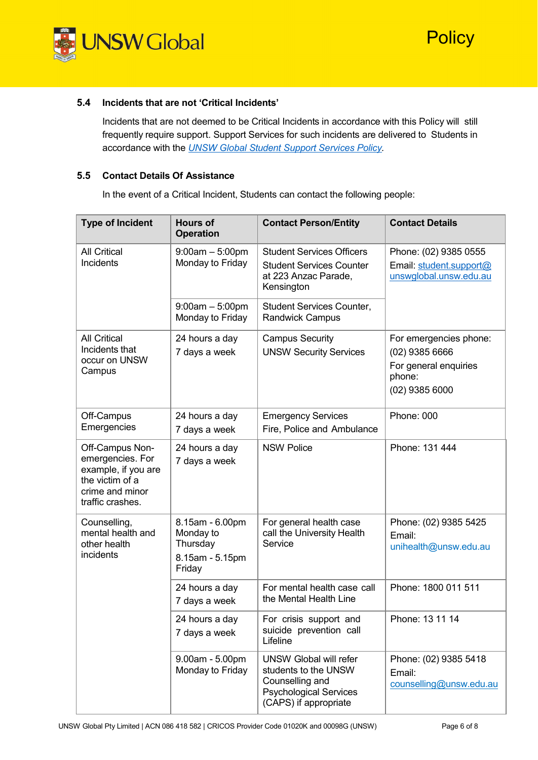

### **5.4 Incidents that are not 'Critical Incidents'**

Incidents that are not deemed to be Critical Incidents in accordance with this Policy will still frequently require support. Support Services for such incidents are delivered to Students in accordance with the *UNSW Global Student Support [Services](https://oldintranet.nsg.unsw.edu.au/policy_manual/9_0/SSUP-006-POLa_UNSWG_Student_Support_Services_Policy.pdf) Policy.*

## <span id="page-5-0"></span>**5.5 Contact Details Of Assistance**

In the event of a Critical Incident, Students can contact the following people:

| <b>Type of Incident</b>                                                                                              | <b>Hours of</b><br><b>Operation</b>                         | <b>Contact Person/Entity</b>                                                                                                       | <b>Contact Details</b>                                                                            |
|----------------------------------------------------------------------------------------------------------------------|-------------------------------------------------------------|------------------------------------------------------------------------------------------------------------------------------------|---------------------------------------------------------------------------------------------------|
| <b>All Critical</b><br>Incidents                                                                                     | $9:00am - 5:00pm$<br>Monday to Friday                       | <b>Student Services Officers</b><br><b>Student Services Counter</b><br>at 223 Anzac Parade,<br>Kensington                          | Phone: (02) 9385 0555<br>Email: student.support@<br>unswglobal.unsw.edu.au                        |
|                                                                                                                      | $9:00am - 5:00pm$<br>Monday to Friday                       | <b>Student Services Counter,</b><br><b>Randwick Campus</b>                                                                         |                                                                                                   |
| <b>All Critical</b><br>Incidents that<br>occur on UNSW<br>Campus                                                     | 24 hours a day<br>7 days a week                             | <b>Campus Security</b><br><b>UNSW Security Services</b>                                                                            | For emergencies phone:<br>$(02)$ 9385 6666<br>For general enquiries<br>phone:<br>$(02)$ 9385 6000 |
| Off-Campus<br>Emergencies                                                                                            | 24 hours a day<br>7 days a week                             | <b>Emergency Services</b><br>Fire, Police and Ambulance                                                                            | Phone: 000                                                                                        |
| Off-Campus Non-<br>emergencies. For<br>example, if you are<br>the victim of a<br>crime and minor<br>traffic crashes. | 24 hours a day<br>7 days a week                             | <b>NSW Police</b>                                                                                                                  | Phone: 131 444                                                                                    |
| Counselling,<br>mental health and<br>other health<br>incidents<br>Friday                                             | 8.15am - 6.00pm<br>Monday to<br>Thursday<br>8.15am - 5.15pm | For general health case<br>call the University Health<br>Service                                                                   | Phone: (02) 9385 5425<br>Email:<br>unihealth@unsw.edu.au                                          |
|                                                                                                                      | 24 hours a day<br>7 days a week                             | For mental health case call<br>the Mental Health Line                                                                              | Phone: 1800 011 511                                                                               |
|                                                                                                                      | 24 hours a day<br>7 days a week                             | For crisis support and<br>suicide prevention call<br>Lifeline                                                                      | Phone: 13 11 14                                                                                   |
|                                                                                                                      | 9.00am - 5.00pm<br>Monday to Friday                         | <b>UNSW Global will refer</b><br>students to the UNSW<br>Counselling and<br><b>Psychological Services</b><br>(CAPS) if appropriate | Phone: (02) 9385 5418<br>Email:<br>counselling@unsw.edu.au                                        |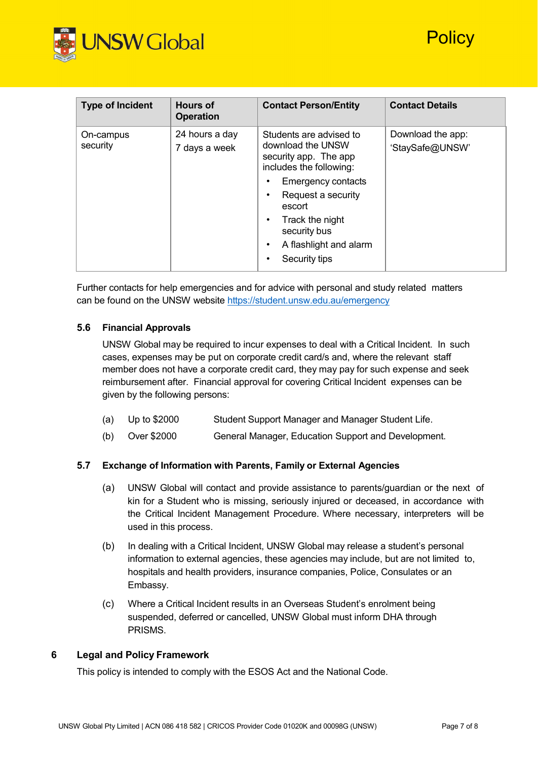

| <b>Type of Incident</b> | <b>Hours of</b><br><b>Operation</b> | <b>Contact Person/Entity</b>                                                                                                                                                                                                                                                         | <b>Contact Details</b>               |
|-------------------------|-------------------------------------|--------------------------------------------------------------------------------------------------------------------------------------------------------------------------------------------------------------------------------------------------------------------------------------|--------------------------------------|
| On-campus<br>security   | 24 hours a day<br>7 days a week     | Students are advised to<br>download the UNSW<br>security app. The app<br>includes the following:<br><b>Emergency contacts</b><br>٠<br>Request a security<br>٠<br>escort<br>Track the night<br>$\bullet$<br>security bus<br>A flashlight and alarm<br>$\bullet$<br>Security tips<br>٠ | Download the app:<br>'StaySafe@UNSW' |

Further contacts for help emergencies and for advice with personal and study related matters can be found on the UNSW website <https://student.unsw.edu.au/emergency>

## **5.6 Financial Approvals**

UNSW Global may be required to incur expenses to deal with a Critical Incident. In such cases, expenses may be put on corporate credit card/s and, where the relevant staff member does not have a corporate credit card, they may pay for such expense and seek reimbursement after. Financial approval for covering Critical Incident expenses can be given by the following persons:

- (a) Up to \$2000 Student Support Manager and Manager Student Life.
- (b) Over \$2000 General Manager, Education Support and Development.

#### **5.7 Exchange of Information with Parents, Family or External Agencies**

- (a) UNSW Global will contact and provide assistance to parents/guardian or the next of kin for a Student who is missing, seriously injured or deceased, in accordance with the Critical Incident Management Procedure. Where necessary, interpreters will be used in this process.
- (b) In dealing with a Critical Incident, UNSW Global may release a student's personal information to external agencies, these agencies may include, but are not limited to, hospitals and health providers, insurance companies, Police, Consulates or an Embassy.
- (c) Where a Critical Incident results in an Overseas Student's enrolment being suspended, deferred or cancelled, UNSW Global must inform DHA through PRISMS.

# **6 Legal and Policy Framework**

This policy is intended to comply with the ESOS Act and the National Code.